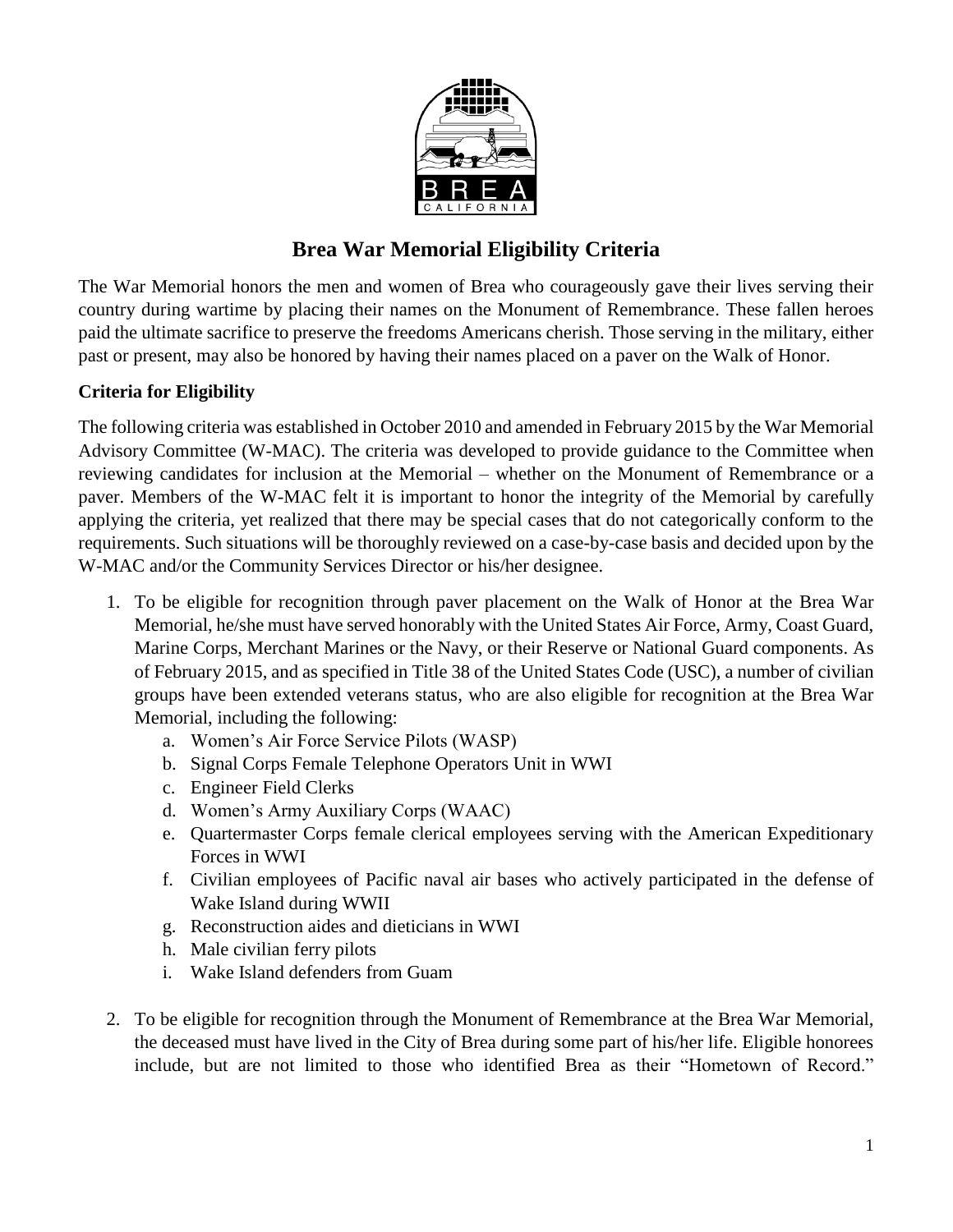

# **Brea War Memorial Eligibility Criteria**

The War Memorial honors the men and women of Brea who courageously gave their lives serving their country during wartime by placing their names on the Monument of Remembrance. These fallen heroes paid the ultimate sacrifice to preserve the freedoms Americans cherish. Those serving in the military, either past or present, may also be honored by having their names placed on a paver on the Walk of Honor.

### **Criteria for Eligibility**

The following criteria was established in October 2010 and amended in February 2015 by the War Memorial Advisory Committee (W-MAC). The criteria was developed to provide guidance to the Committee when reviewing candidates for inclusion at the Memorial – whether on the Monument of Remembrance or a paver. Members of the W-MAC felt it is important to honor the integrity of the Memorial by carefully applying the criteria, yet realized that there may be special cases that do not categorically conform to the requirements. Such situations will be thoroughly reviewed on a case-by-case basis and decided upon by the W-MAC and/or the Community Services Director or his/her designee.

- 1. To be eligible for recognition through paver placement on the Walk of Honor at the Brea War Memorial, he/she must have served honorably with the United States Air Force, Army, Coast Guard, Marine Corps, Merchant Marines or the Navy, or their Reserve or National Guard components. As of February 2015, and as specified in Title 38 of the United States Code (USC), a number of civilian groups have been extended veterans status, who are also eligible for recognition at the Brea War Memorial, including the following:
	- a. Women's Air Force Service Pilots (WASP)
	- b. Signal Corps Female Telephone Operators Unit in WWI
	- c. Engineer Field Clerks
	- d. Women's Army Auxiliary Corps (WAAC)
	- e. Quartermaster Corps female clerical employees serving with the American Expeditionary Forces in WWI
	- f. Civilian employees of Pacific naval air bases who actively participated in the defense of Wake Island during WWII
	- g. Reconstruction aides and dieticians in WWI
	- h. Male civilian ferry pilots
	- i. Wake Island defenders from Guam
- 2. To be eligible for recognition through the Monument of Remembrance at the Brea War Memorial, the deceased must have lived in the City of Brea during some part of his/her life. Eligible honorees include, but are not limited to those who identified Brea as their "Hometown of Record."